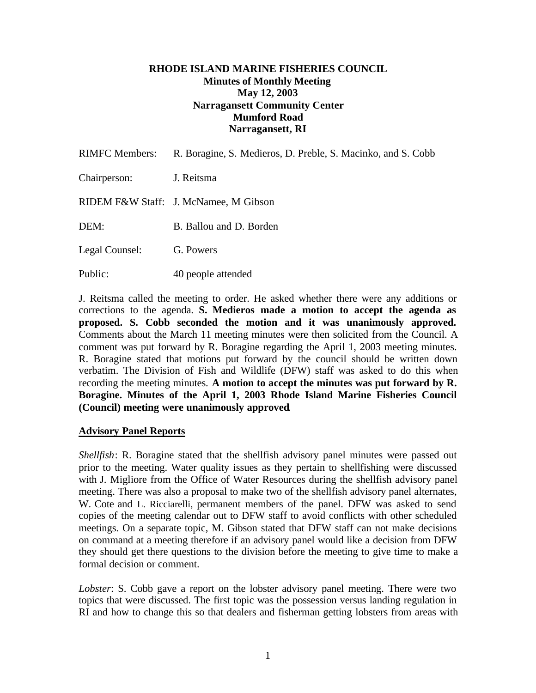### **RHODE ISLAND MARINE FISHERIES COUNCIL Minutes of Monthly Meeting May 12, 2003 Narragansett Community Center Mumford Road Narragansett, RI**

| <b>RIMFC Members:</b> | R. Boragine, S. Medieros, D. Preble, S. Macinko, and S. Cobb |
|-----------------------|--------------------------------------------------------------|
| Chairperson:          | J. Reitsma                                                   |
|                       | RIDEM F&W Staff: J. McNamee, M Gibson                        |
| DEM:                  | B. Ballou and D. Borden                                      |
| Legal Counsel:        | G. Powers                                                    |
| Public:               | 40 people attended                                           |

J. Reitsma called the meeting to order. He asked whether there were any additions or corrections to the agenda. **S. Medieros made a motion to accept the agenda as proposed. S. Cobb seconded the motion and it was unanimously approved.** Comments about the March 11 meeting minutes were then solicited from the Council. A comment was put forward by R. Boragine regarding the April 1, 2003 meeting minutes. R. Boragine stated that motions put forward by the council should be written down verbatim. The Division of Fish and Wildlife (DFW) staff was asked to do this when recording the meeting minutes. **A motion to accept the minutes was put forward by R. Boragine. Minutes of the April 1, 2003 Rhode Island Marine Fisheries Council (Council) meeting were unanimously approved**.

### **Advisory Panel Reports**

*Shellfish*: R. Boragine stated that the shellfish advisory panel minutes were passed out prior to the meeting. Water quality issues as they pertain to shellfishing were discussed with J. Migliore from the Office of Water Resources during the shellfish advisory panel meeting. There was also a proposal to make two of the shellfish advisory panel alternates, W. Cote and L. Ricciarelli, permanent members of the panel. DFW was asked to send copies of the meeting calendar out to DFW staff to avoid conflicts with other scheduled meetings. On a separate topic, M. Gibson stated that DFW staff can not make decisions on command at a meeting therefore if an advisory panel would like a decision from DFW they should get there questions to the division before the meeting to give time to make a formal decision or comment.

*Lobster*: S. Cobb gave a report on the lobster advisory panel meeting. There were two topics that were discussed. The first topic was the possession versus landing regulation in RI and how to change this so that dealers and fisherman getting lobsters from areas with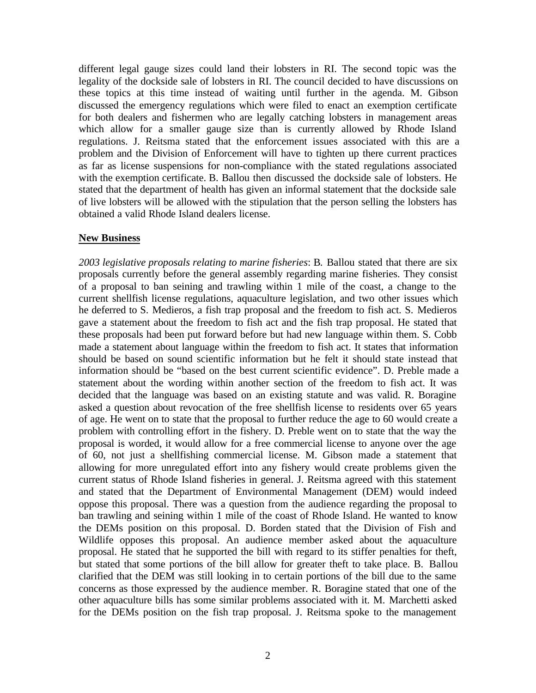different legal gauge sizes could land their lobsters in RI. The second topic was the legality of the dockside sale of lobsters in RI. The council decided to have discussions on these topics at this time instead of waiting until further in the agenda. M. Gibson discussed the emergency regulations which were filed to enact an exemption certificate for both dealers and fishermen who are legally catching lobsters in management areas which allow for a smaller gauge size than is currently allowed by Rhode Island regulations. J. Reitsma stated that the enforcement issues associated with this are a problem and the Division of Enforcement will have to tighten up there current practices as far as license suspensions for non-compliance with the stated regulations associated with the exemption certificate. B. Ballou then discussed the dockside sale of lobsters. He stated that the department of health has given an informal statement that the dockside sale of live lobsters will be allowed with the stipulation that the person selling the lobsters has obtained a valid Rhode Island dealers license.

### **New Business**

*2003 legislative proposals relating to marine fisheries*: B. Ballou stated that there are six proposals currently before the general assembly regarding marine fisheries. They consist of a proposal to ban seining and trawling within 1 mile of the coast, a change to the current shellfish license regulations, aquaculture legislation, and two other issues which he deferred to S. Medieros, a fish trap proposal and the freedom to fish act. S. Medieros gave a statement about the freedom to fish act and the fish trap proposal. He stated that these proposals had been put forward before but had new language within them. S. Cobb made a statement about language within the freedom to fish act. It states that information should be based on sound scientific information but he felt it should state instead that information should be "based on the best current scientific evidence". D. Preble made a statement about the wording within another section of the freedom to fish act. It was decided that the language was based on an existing statute and was valid. R. Boragine asked a question about revocation of the free shellfish license to residents over 65 years of age. He went on to state that the proposal to further reduce the age to 60 would create a problem with controlling effort in the fishery. D. Preble went on to state that the way the proposal is worded, it would allow for a free commercial license to anyone over the age of 60, not just a shellfishing commercial license. M. Gibson made a statement that allowing for more unregulated effort into any fishery would create problems given the current status of Rhode Island fisheries in general. J. Reitsma agreed with this statement and stated that the Department of Environmental Management (DEM) would indeed oppose this proposal. There was a question from the audience regarding the proposal to ban trawling and seining within 1 mile of the coast of Rhode Island. He wanted to know the DEMs position on this proposal. D. Borden stated that the Division of Fish and Wildlife opposes this proposal. An audience member asked about the aquaculture proposal. He stated that he supported the bill with regard to its stiffer penalties for theft, but stated that some portions of the bill allow for greater theft to take place. B. Ballou clarified that the DEM was still looking in to certain portions of the bill due to the same concerns as those expressed by the audience member. R. Boragine stated that one of the other aquaculture bills has some similar problems associated with it. M. Marchetti asked for the DEMs position on the fish trap proposal. J. Reitsma spoke to the management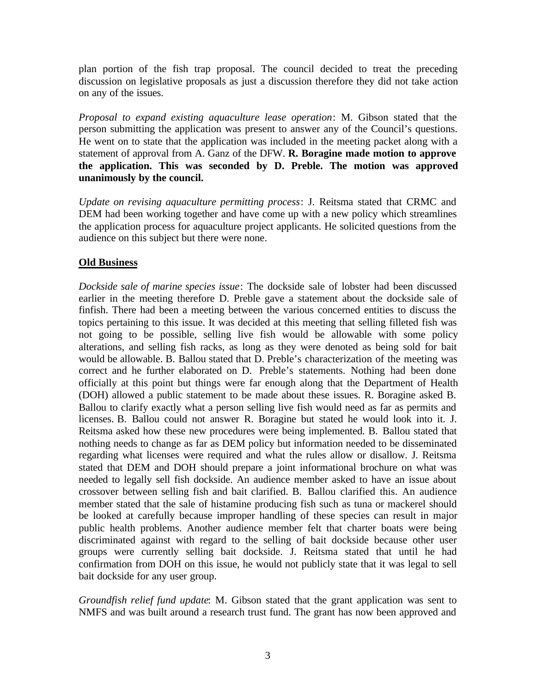plan portion of the fish trap proposal. The council decided to treat the preceding discussion on legislative proposals as just a discussion therefore they did not take action on any of the issues.

*Proposal to expand existing aquaculture lease operation*: M. Gibson stated that the person submitting the application was present to answer any of the Council's questions. He went on to state that the application was included in the meeting packet along with a statement of approval from A. Ganz of the DFW. **R. Boragine made motion to approve the application. This was seconded by D. Preble. The motion was approved unanimously by the council.**

*Update on revising aquaculture permitting process*: J. Reitsma stated that CRMC and DEM had been working together and have come up with a new policy which streamlines the application process for aquaculture project applicants. He solicited questions from the audience on this subject but there were none.

# **Old Business**

*Dockside sale of marine species issue*: The dockside sale of lobster had been discussed earlier in the meeting therefore D. Preble gave a statement about the dockside sale of finfish. There had been a meeting between the various concerned entities to discuss the topics pertaining to this issue. It was decided at this meeting that selling filleted fish was not going to be possible, selling live fish would be allowable with some policy alterations, and selling fish racks, as long as they were denoted as being sold for bait would be allowable. B. Ballou stated that D. Preble's characterization of the meeting was correct and he further elaborated on D. Preble's statements. Nothing had been done officially at this point but things were far enough along that the Department of Health (DOH) allowed a public statement to be made about these issues. R. Boragine asked B. Ballou to clarify exactly what a person selling live fish would need as far as permits and licenses. B. Ballou could not answer R. Boragine but stated he would look into it. J. Reitsma asked how these new procedures were being implemented. B. Ballou stated that nothing needs to change as far as DEM policy but information needed to be disseminated regarding what licenses were required and what the rules allow or disallow. J. Reitsma stated that DEM and DOH should prepare a joint informational brochure on what was needed to legally sell fish dockside. An audience member asked to have an issue about crossover between selling fish and bait clarified. B. Ballou clarified this. An audience member stated that the sale of histamine producing fish such as tuna or mackerel should be looked at carefully because improper handling of these species can result in major public health problems. Another audience member felt that charter boats were being discriminated against with regard to the selling of bait dockside because other user groups were currently selling bait dockside. J. Reitsma stated that until he had confirmation from DOH on this issue, he would not publicly state that it was legal to sell bait dockside for any user group.

*Groundfish relief fund update*: M. Gibson stated that the grant application was sent to NMFS and was built around a research trust fund. The grant has now been approved and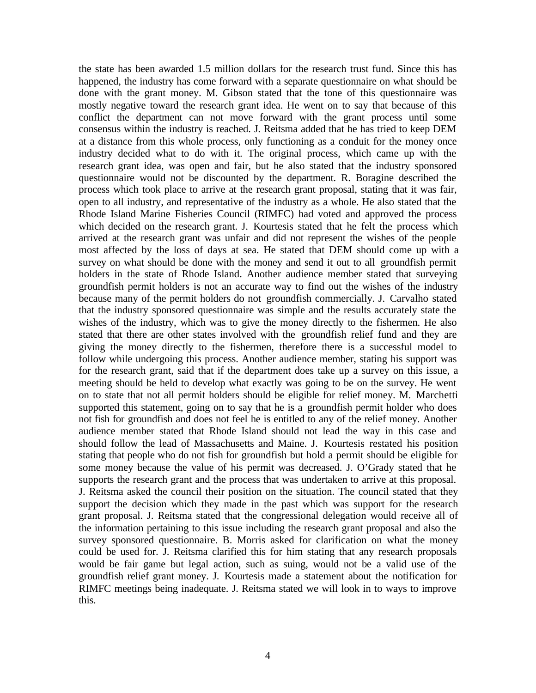the state has been awarded 1.5 million dollars for the research trust fund. Since this has happened, the industry has come forward with a separate questionnaire on what should be done with the grant money. M. Gibson stated that the tone of this questionnaire was mostly negative toward the research grant idea. He went on to say that because of this conflict the department can not move forward with the grant process until some consensus within the industry is reached. J. Reitsma added that he has tried to keep DEM at a distance from this whole process, only functioning as a conduit for the money once industry decided what to do with it. The original process, which came up with the research grant idea, was open and fair, but he also stated that the industry sponsored questionnaire would not be discounted by the department. R. Boragine described the process which took place to arrive at the research grant proposal, stating that it was fair, open to all industry, and representative of the industry as a whole. He also stated that the Rhode Island Marine Fisheries Council (RIMFC) had voted and approved the process which decided on the research grant. J. Kourtesis stated that he felt the process which arrived at the research grant was unfair and did not represent the wishes of the people most affected by the loss of days at sea. He stated that DEM should come up with a survey on what should be done with the money and send it out to all groundfish permit holders in the state of Rhode Island. Another audience member stated that surveying groundfish permit holders is not an accurate way to find out the wishes of the industry because many of the permit holders do not groundfish commercially. J. Carvalho stated that the industry sponsored questionnaire was simple and the results accurately state the wishes of the industry, which was to give the money directly to the fishermen. He also stated that there are other states involved with the groundfish relief fund and they are giving the money directly to the fishermen, therefore there is a successful model to follow while undergoing this process. Another audience member, stating his support was for the research grant, said that if the department does take up a survey on this issue, a meeting should be held to develop what exactly was going to be on the survey. He went on to state that not all permit holders should be eligible for relief money. M. Marchetti supported this statement, going on to say that he is a groundfish permit holder who does not fish for groundfish and does not feel he is entitled to any of the relief money. Another audience member stated that Rhode Island should not lead the way in this case and should follow the lead of Massachusetts and Maine. J. Kourtesis restated his position stating that people who do not fish for groundfish but hold a permit should be eligible for some money because the value of his permit was decreased. J. O'Grady stated that he supports the research grant and the process that was undertaken to arrive at this proposal. J. Reitsma asked the council their position on the situation. The council stated that they support the decision which they made in the past which was support for the research grant proposal. J. Reitsma stated that the congressional delegation would receive all of the information pertaining to this issue including the research grant proposal and also the survey sponsored questionnaire. B. Morris asked for clarification on what the money could be used for. J. Reitsma clarified this for him stating that any research proposals would be fair game but legal action, such as suing, would not be a valid use of the groundfish relief grant money. J. Kourtesis made a statement about the notification for RIMFC meetings being inadequate. J. Reitsma stated we will look in to ways to improve this.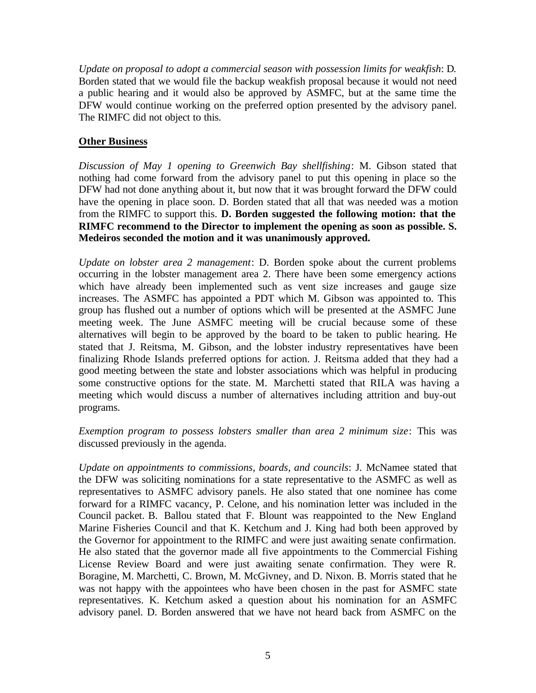*Update on proposal to adopt a commercial season with possession limits for weakfish*: D. Borden stated that we would file the backup weakfish proposal because it would not need a public hearing and it would also be approved by ASMFC, but at the same time the DFW would continue working on the preferred option presented by the advisory panel. The RIMFC did not object to this.

## **Other Business**

*Discussion of May 1 opening to Greenwich Bay shellfishing*: M. Gibson stated that nothing had come forward from the advisory panel to put this opening in place so the DFW had not done anything about it, but now that it was brought forward the DFW could have the opening in place soon. D. Borden stated that all that was needed was a motion from the RIMFC to support this. **D. Borden suggested the following motion: that the RIMFC recommend to the Director to implement the opening as soon as possible. S. Medeiros seconded the motion and it was unanimously approved.**

*Update on lobster area 2 management*: D. Borden spoke about the current problems occurring in the lobster management area 2. There have been some emergency actions which have already been implemented such as vent size increases and gauge size increases. The ASMFC has appointed a PDT which M. Gibson was appointed to. This group has flushed out a number of options which will be presented at the ASMFC June meeting week. The June ASMFC meeting will be crucial because some of these alternatives will begin to be approved by the board to be taken to public hearing. He stated that J. Reitsma, M. Gibson, and the lobster industry representatives have been finalizing Rhode Islands preferred options for action. J. Reitsma added that they had a good meeting between the state and lobster associations which was helpful in producing some constructive options for the state. M. Marchetti stated that RILA was having a meeting which would discuss a number of alternatives including attrition and buy-out programs.

*Exemption program to possess lobsters smaller than area 2 minimum size*: This was discussed previously in the agenda.

*Update on appointments to commissions, boards, and councils*: J. McNamee stated that the DFW was soliciting nominations for a state representative to the ASMFC as well as representatives to ASMFC advisory panels. He also stated that one nominee has come forward for a RIMFC vacancy, P. Celone, and his nomination letter was included in the Council packet. B. Ballou stated that F. Blount was reappointed to the New England Marine Fisheries Council and that K. Ketchum and J. King had both been approved by the Governor for appointment to the RIMFC and were just awaiting senate confirmation. He also stated that the governor made all five appointments to the Commercial Fishing License Review Board and were just awaiting senate confirmation. They were R. Boragine, M. Marchetti, C. Brown, M. McGivney, and D. Nixon. B. Morris stated that he was not happy with the appointees who have been chosen in the past for ASMFC state representatives. K. Ketchum asked a question about his nomination for an ASMFC advisory panel. D. Borden answered that we have not heard back from ASMFC on the